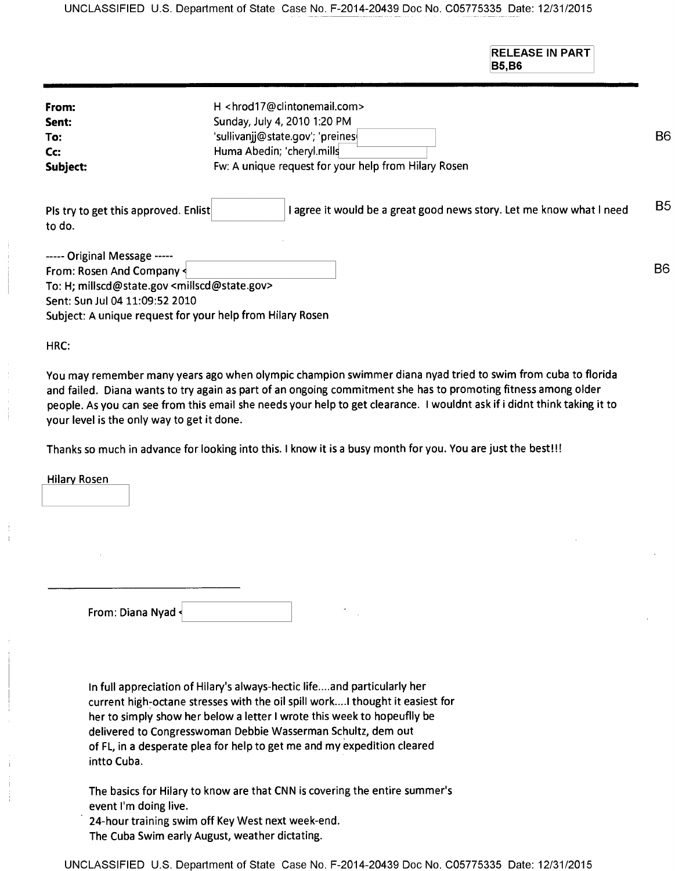**RELEASE IN PART B5,B6** 

| From:                                                            | H <hrod17@clintonemail.com></hrod17@clintonemail.com>                |                |
|------------------------------------------------------------------|----------------------------------------------------------------------|----------------|
| Sent:                                                            | Sunday, July 4, 2010 1:20 PM                                         |                |
| To:                                                              | 'sullivanjj@state.gov'; 'preines                                     |                |
| Cc:                                                              | Huma Abedin; 'cheryl.mills                                           |                |
| Fw: A unique request for your help from Hilary Rosen<br>Subject: |                                                                      |                |
|                                                                  |                                                                      | B5             |
| Pls try to get this approved. Enlist<br>to do.                   | I agree it would be a great good news story. Let me know what I need |                |
| ----- Original Message -----                                     |                                                                      |                |
| From: Rosen And Company <                                        |                                                                      | B <sub>6</sub> |
| To: H; millscd@state.gov <millscd@state.gov></millscd@state.gov> |                                                                      |                |
| Sent: Sun Jul 04 11:09:52 2010                                   |                                                                      |                |
|                                                                  | Subject: A unique request for your help from Hilary Rosen            |                |

HRC:

You may remember many years ago when olympic champion swimmer diana nyad tried to swim from cuba to florida and failed. Diana wants to try again as part of an ongoing commitment she has to promoting fitness among older people. As you can see from this email she needs your help to get clearance. I wouldnt ask if i didnt think taking it to your level is the only way to get it done.

Thanks so much in advance for looking into this. I know it is a busy month for you. You are just the best!!!

Hilary Rosen

| From: Diana Nyad < |  |  |
|--------------------|--|--|
|--------------------|--|--|

In full appreciation of Hilary's always-hectic life....and particularly her current high-octane stresses with the oil spill work....I thought it easiest for her to simply show her below a letter I wrote this week to hopeuflly be delivered to Congresswoman Debbie Wasserman Schultz, dem out of FL, in a desperate plea for help to get me and my expedition cleared intto Cuba.

The basics for Hilary to know are that CNN is covering the entire summer's event I'm doing live.

24-hour training swim off Key West next week-end. The Cuba Swim early August, weather dictating.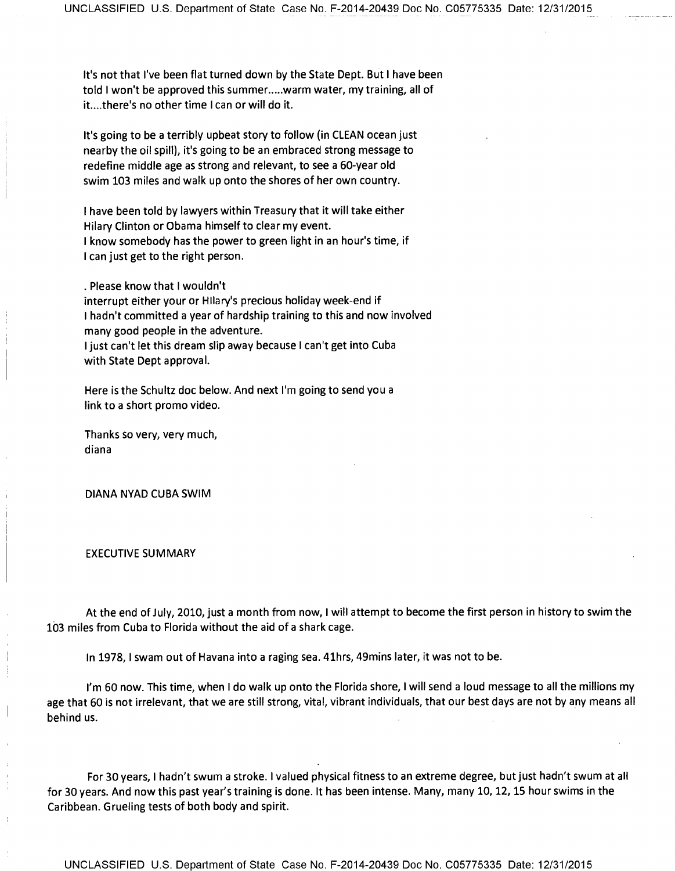It's not that I've been flat turned down by the State Dept. But I have been told I won't be approved this summer.....warm water, my training, all of it....there's no other time I can or will do it.

It's going to be a terribly upbeat story to follow (in CLEAN ocean just nearby the oil spill), it's going to be an embraced strong message to redefine middle age as strong and relevant, to see a 60-year old swim 103 miles and walk up onto the shores of her own country.

I have been told by lawyers within Treasury that it will take either Hilary Clinton or Obama himself to clear my event. I know somebody has the power to green light in an hour's time, if I can just get to the right person.

. Please know that I wouldn't

interrupt either your or Hilary's precious holiday week-end if I hadn't committed a year of hardship training to this and now involved many good people in the adventure. I just can't let this dream slip away because I can't get into Cuba

with State Dept approval.

Here is the Schultz doc below. And next I'm going to send you a link to a short promo video.

Thanks so very, very much, diana

DIANA NYAD CUBA SWIM

EXECUTIVE SUMMARY

At the end of July, 2010, just a month from now, I will attempt to become the first person in history to swim the 103 miles from Cuba to Florida without the aid of a shark cage.

In 1978, I swam out of Havana into a raging sea. 41hrs, 49mins later, it was not to be.

I'm 60 now. This time, when I do walk up onto the Florida shore, I will send a loud message to all the millions my age that 60 is not irrelevant, that we are still strong, vital, vibrant individuals, that our best days are not by any means all behind us.

For 30 years, I hadn't swum a stroke. I valued physical fitness to an extreme degree, but just hadn't swum at all for 30 years. And now this past year's training is done. It has been intense. Many, many 10, 12, 15 hour swims in the Caribbean. Grueling tests of both body and spirit.